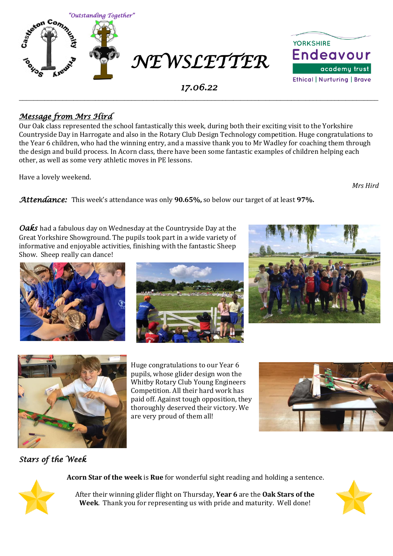



### *17.06.22*  \_\_\_\_\_\_\_\_\_\_\_\_\_\_\_\_\_\_\_\_\_\_\_\_\_\_\_\_\_\_\_\_\_\_\_\_\_\_\_\_\_\_\_\_\_\_\_\_\_\_\_\_\_\_\_\_\_\_\_\_\_\_\_\_\_\_\_\_\_\_\_\_\_\_\_\_\_\_\_\_\_\_\_\_\_\_\_\_\_\_\_\_\_\_\_\_\_\_\_

# *Message from Mrs Hird*

Our Oak class represented the school fantastically this week, during both their exciting visit to the Yorkshire Countryside Day in Harrogate and also in the Rotary Club Design Technology competition. Huge congratulations to the Year 6 children, who had the winning entry, and a massive thank you to Mr Wadley for coaching them through the design and build process. In Acorn class, there have been some fantastic examples of children helping each other, as well as some very athletic moves in PE lessons.

Have a lovely weekend.

*Mrs Hird*

*Attendance:* This week's attendance was only **90.65%,** so below our target of at least **97%.** 

*Oaks* had a fabulous day on Wednesday at the Countryside Day at the Great Yorkshire Showground. The pupils took part in a wide variety of informative and enjoyable activities, finishing with the fantastic Sheep Show. Sheep really can dance!









Huge congratulations to our Year 6 pupils, whose glider design won the Whitby Rotary Club Young Engineers Competition. All their hard work has paid off. Against tough opposition, they thoroughly deserved their victory. We are very proud of them all!



# *Stars of the Week*

**Acorn Star of the week** is **Rue** for wonderful sight reading and holding a sentence.



After their winning glider flight on Thursday, **Year 6** are the **Oak Stars of the Week**. Thank you for representing us with pride and maturity. Well done!